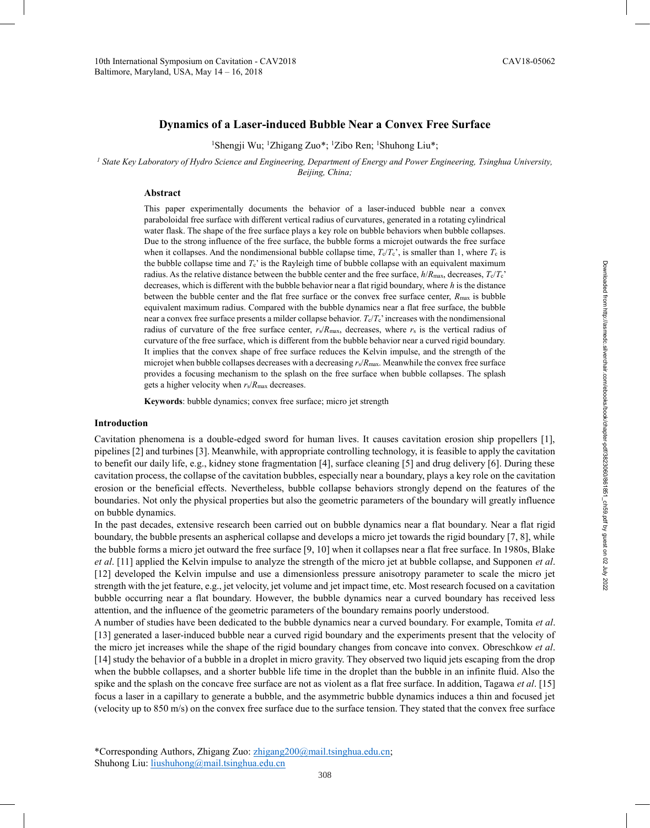## **Dynamics of a Laser-induced Bubble Near a Convex Free Surface**

<sup>1</sup>Shengji Wu; <sup>1</sup>Zhigang Zuo\*; <sup>1</sup>Zibo Ren; <sup>1</sup>Shuhong Liu\*;

*<sup>1</sup> State Key Laboratory of Hydro Science and Engineering, Department of Energy and Power Engineering, Tsinghua University, Beijing, China;* 

#### **Abstract**

This paper experimentally documents the behavior of a laser-induced bubble near a convex paraboloidal free surface with different vertical radius of curvatures, generated in a rotating cylindrical water flask. The shape of the free surface plays a key role on bubble behaviors when bubble collapses. Due to the strong influence of the free surface, the bubble forms a microjet outwards the free surface when it collapses. And the nondimensional bubble collapse time,  $T_c/T_c$ , is smaller than 1, where  $T_c$  is the bubble collapse time and  $T_c$  is the Rayleigh time of bubble collapse with an equivalent maximum radius. As the relative distance between the bubble center and the free surface,  $h/R_{\text{max}}$ , decreases,  $T_c/T_c$ decreases, which is different with the bubble behavior near a flat rigid boundary, where *h* is the distance between the bubble center and the flat free surface or the convex free surface center,  $R_{\text{max}}$  is bubble equivalent maximum radius. Compared with the bubble dynamics near a flat free surface, the bubble near a convex free surface presents a milder collapse behavior.  $T_c/T_c$  increases with the nondimensional radius of curvature of the free surface center, *r*s/*R*max, decreases, where *r*s is the vertical radius of curvature of the free surface, which is different from the bubble behavior near a curved rigid boundary. It implies that the convex shape of free surface reduces the Kelvin impulse, and the strength of the microjet when bubble collapses decreases with a decreasing *r*s/*R*max. Meanwhile the convex free surface provides a focusing mechanism to the splash on the free surface when bubble collapses. The splash gets a higher velocity when *r*s/*R*max decreases.

**Keywords**: bubble dynamics; convex free surface; micro jet strength

#### **Introduction**

Cavitation phenomena is a double-edged sword for human lives. It causes cavitation erosion ship propellers [1], pipelines [2] and turbines [3]. Meanwhile, with appropriate controlling technology, it is feasible to apply the cavitation to benefit our daily life, e.g., kidney stone fragmentation [4], surface cleaning [5] and drug delivery [6]. During these cavitation process, the collapse of the cavitation bubbles, especially near a boundary, plays a key role on the cavitation erosion or the beneficial effects. Nevertheless, bubble collapse behaviors strongly depend on the features of the boundaries. Not only the physical properties but also the geometric parameters of the boundary will greatly influence on bubble dynamics.

In the past decades, extensive research been carried out on bubble dynamics near a flat boundary. Near a flat rigid boundary, the bubble presents an aspherical collapse and develops a micro jet towards the rigid boundary [7, 8], while the bubble forms a micro jet outward the free surface [9, 10] when it collapses near a flat free surface. In 1980s, Blake *et al*. [11] applied the Kelvin impulse to analyze the strength of the micro jet at bubble collapse, and Supponen *et al*. [12] developed the Kelvin impulse and use a dimensionless pressure anisotropy parameter to scale the micro jet strength with the jet feature, e.g., jet velocity, jet volume and jet impact time, etc. Most research focused on a cavitation bubble occurring near a flat boundary. However, the bubble dynamics near a curved boundary has received less attention, and the influence of the geometric parameters of the boundary remains poorly understood.

A number of studies have been dedicated to the bubble dynamics near a curved boundary. For example, Tomita *et al*. [13] generated a laser-induced bubble near a curved rigid boundary and the experiments present that the velocity of the micro jet increases while the shape of the rigid boundary changes from concave into convex. Obreschkow *et al*. [14] study the behavior of a bubble in a droplet in micro gravity. They observed two liquid jets escaping from the drop when the bubble collapses, and a shorter bubble life time in the droplet than the bubble in an infinite fluid. Also the spike and the splash on the concave free surface are not as violent as a flat free surface. In addition, Tagawa *et al*. [15] focus a laser in a capillary to generate a bubble, and the asymmetric bubble dynamics induces a thin and focused jet (velocity up to 850 m/s) on the convex free surface due to the surface tension. They stated that the convex free surface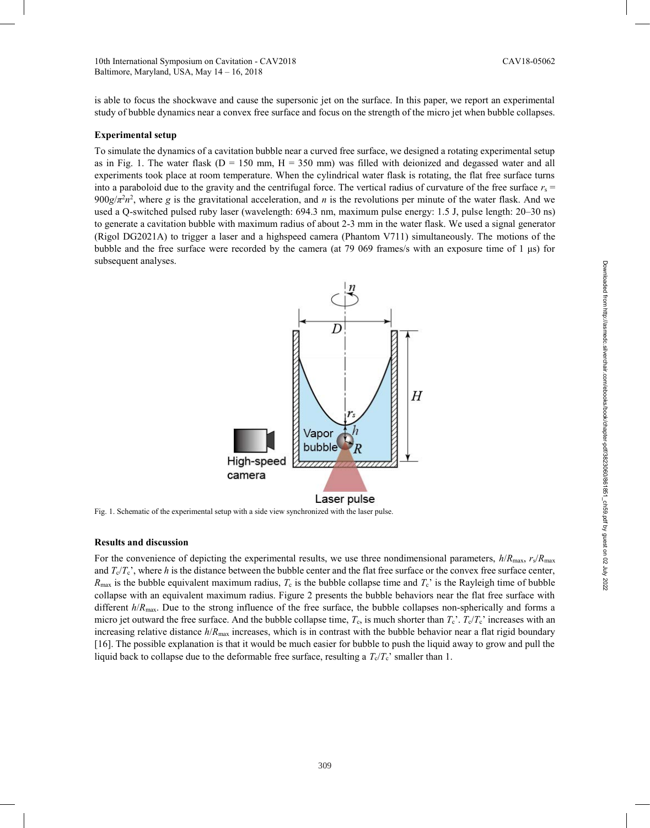is able to focus the shockwave and cause the supersonic jet on the surface. In this paper, we report an experimental study of bubble dynamics near a convex free surface and focus on the strength of the micro jet when bubble collapses.

#### **Experimental setup**

To simulate the dynamics of a cavitation bubble near a curved free surface, we designed a rotating experimental setup as in Fig. 1. The water flask ( $D = 150$  mm,  $H = 350$  mm) was filled with deionized and degassed water and all experiments took place at room temperature. When the cylindrical water flask is rotating, the flat free surface turns into a paraboloid due to the gravity and the centrifugal force. The vertical radius of curvature of the free surface  $r_s$  $900g/\pi^2 n^2$ , where *g* is the gravitational acceleration, and *n* is the revolutions per minute of the water flask. And we used a Q-switched pulsed ruby laser (wavelength: 694.3 nm, maximum pulse energy: 1.5 J, pulse length: 20–30 ns) to generate a cavitation bubble with maximum radius of about 2-3 mm in the water flask. We used a signal generator (Rigol DG2021A) to trigger a laser and a highspeed camera (Phantom V711) simultaneously. The motions of the bubble and the free surface were recorded by the camera (at 79 069 frames/s with an exposure time of 1 μs) for subsequent analyses.



Fig. 1. Schematic of the experimental setup with a side view synchronized with the laser pulse.

## **Results and discussion**

For the convenience of depicting the experimental results, we use three nondimensional parameters,  $h/R_{\text{max}}$ ,  $r_s/R_{\text{max}}$ and  $T_c/T_c$ , where *h* is the distance between the bubble center and the flat free surface or the convex free surface center,  $R_{\text{max}}$  is the bubble equivalent maximum radius,  $T_c$  is the bubble collapse time and  $T_c$ ' is the Rayleigh time of bubble collapse with an equivalent maximum radius. Figure 2 presents the bubble behaviors near the flat free surface with different *h*/*R*<sub>max</sub>. Due to the strong influence of the free surface, the bubble collapses non-spherically and forms a micro jet outward the free surface. And the bubble collapse time,  $T_c$ , is much shorter than  $T_c$ .  $T_c/T_c$  increases with an increasing relative distance  $h/R_{\text{max}}$  increases, which is in contrast with the bubble behavior near a flat rigid boundary [16]. The possible explanation is that it would be much easier for bubble to push the liquid away to grow and pull the liquid back to collapse due to the deformable free surface, resulting a  $T_c/T_c$ ' smaller than 1.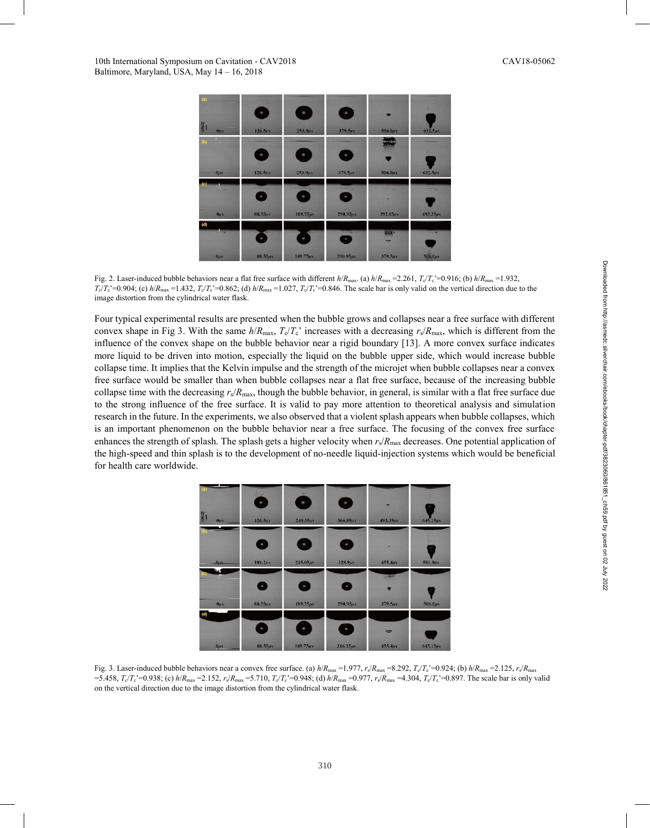

Fig. 2. Laser-induced bubble behaviors near a flat free surface with different  $h/R_{\text{max}}$ . (a)  $h/R_{\text{max}} = 2.261$ ,  $T_c/T_c = 0.916$ ; (b)  $h/R_{\text{max}} = 1.932$ ,  $T_c/T_c$ '=0.904; (c)  $h/R_{\text{max}} = 1.432$ ,  $T_c/T_c$ '=0.862; (d)  $h/R_{\text{max}} = 1.027$ ,  $T_c/T_c$ '=0.846. The scale bar is only valid on the vertical direction due to the image distortion from the cylindrical water flask.

Four typical experimental results are presented when the bubble grows and collapses near a free surface with different convex shape in Fig 3. With the same  $h/R_{\text{max}}$ ,  $T_c/T_c$  increases with a decreasing  $r_s/R_{\text{max}}$ , which is different from the influence of the convex shape on the bubble behavior near a rigid boundary [13]. A more convex surface indicates more liquid to be driven into motion, especially the liquid on the bubble upper side, which would increase bubble collapse time. It implies that the Kelvin impulse and the strength of the microjet when bubble collapses near a convex free surface would be smaller than when bubble collapses near a flat free surface, because of the increasing bubble collapse time with the decreasing  $r_s/R_{\text{max}}$ , though the bubble behavior, in general, is similar with a flat free surface due to the strong influence of the free surface. It is valid to pay more attention to theoretical analysis and simulation research in the future. In the experiments, we also observed that a violent splash appears when bubble collapses, which is an important phenomenon on the bubble behavior near a free surface. The focusing of the convex free surface enhances the strength of splash. The splash gets a higher velocity when  $r_s/R_{\text{max}}$  decreases. One potential application of the high-speed and thin splash is to the development of no-needle liquid-injection systems which would be beneficial for health care worldwide.



Fig. 3. Laser-induced bubble behaviors near a convex free surface. (a)  $h/R_{\text{max}} = 1.977$ ,  $r_s/R_{\text{max}} = 8.292$ ,  $T_c/T_c = 0.924$ ; (b)  $h/R_{\text{max}} = 2.125$ ,  $r_s/R_{\text{max}}$ =5.458,  $T_c/T_c$  =0.938; (c)  $h/R_{\text{max}}$  =2.152,  $r_s/R_{\text{max}}$  =5.710,  $T_c/T_c$  =0.948; (d)  $h/R_{\text{max}}$  =0.977,  $r_s/R_{\text{max}}$  =4.304,  $T_c/T_c$  =0.897. The scale bar is only valid on the vertical direction due to the image distortion from the cylindrical water flask.